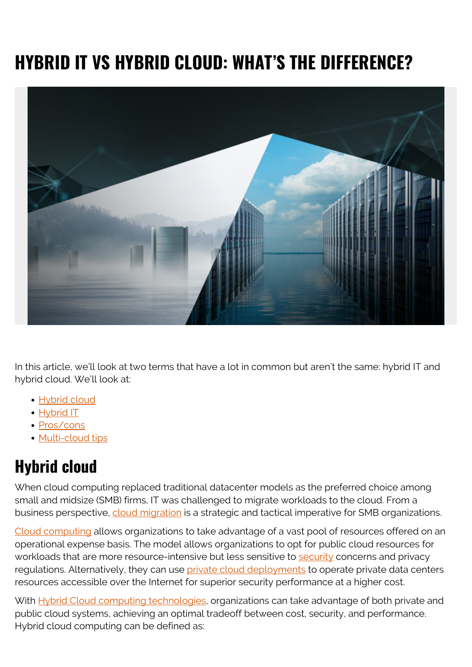# **HYBRID IT VS HYBRID CLOUD: WHAT'S THE DIFFERENCE?**



In this article, we'll look at two terms that have a lot in common but aren't the same: hybrid IT and hybrid cloud. We'll look at:

- [Hybrid cloud](#page--1-0)
- [Hybrid IT](#page--1-0)
- [Pros/cons](#page--1-0)
- [Multi-cloud tips](#page--1-0)

### **Hybrid cloud**

When cloud computing replaced traditional datacenter models as the preferred choice among small and midsize (SMB) firms, IT was challenged to migrate workloads to the cloud. From a business perspective, [cloud migration](https://blogs.bmc.com/blogs/key-facets-of-a-smart-cloud-migration-strategy/) is a strategic and tactical imperative for SMB organizations.

[Cloud computing](https://blogs.bmc.com/blogs/saas-vs-paas-vs-iaas-whats-the-difference-and-how-to-choose/) allows organizations to take advantage of a vast pool of resources offered on an operational expense basis. The model allows organizations to opt for public cloud resources for workloads that are more resource-intensive but less sensitive to [security](https://blogs.bmc.com/blogs/security-vulnerability-vs-threat-vs-risk-whats-difference/) concerns and privacy regulations. Alternatively, they can use [private cloud deployments](https://blogs.bmc.com/blogs/public-private-hybrid-cloud/) to operate private data centers resources accessible over the Internet for superior security performance at a higher cost.

With [Hybrid Cloud computing technologies,](https://blogs.bmc.com/blogs/homogeneous-vs-heterogeneous-clouds/) organizations can take advantage of both private and public cloud systems, achieving an optimal tradeoff between cost, security, and performance. Hybrid cloud computing can be defined as: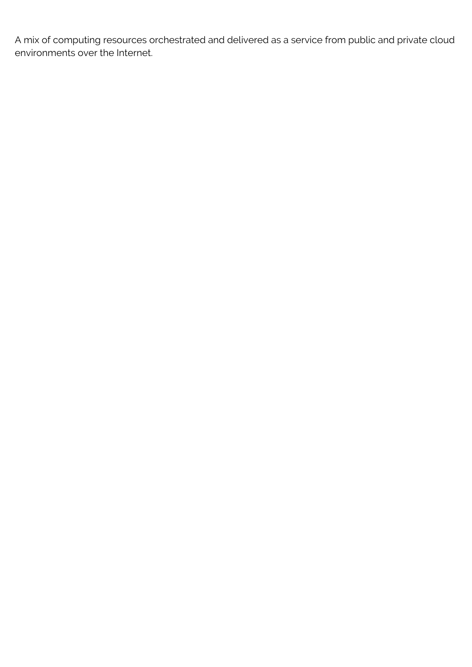A mix of computing resources orchestrated and delivered as a service from public and private cloud environments over the Internet.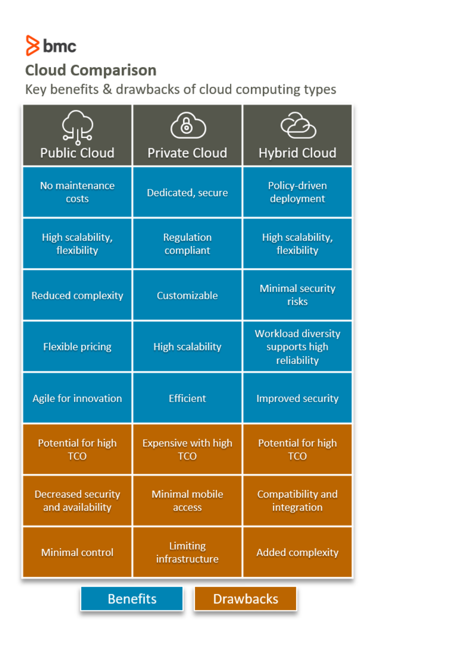# $8$  bmc

#### **Cloud Comparison**

Key benefits & drawbacks of cloud computing types

| ञ्जूड<br><b>Public Cloud</b>                  | <b>Private Cloud</b>            | <b>Hybrid Cloud</b>                                       |
|-----------------------------------------------|---------------------------------|-----------------------------------------------------------|
| No maintenance<br>costs                       | Dedicated, secure               | Policy-driven<br>deployment                               |
| High scalability,<br>flexibility              | <b>Regulation</b><br>compliant  | High scalability,<br>flexibility                          |
| <b>Reduced complexity</b>                     | Customizable                    | <b>Minimal security</b><br>risks                          |
| <b>Flexible pricing</b>                       | <b>High scalability</b>         | <b>Workload diversity</b><br>supports high<br>reliability |
| Agile for innovation                          | <b>Efficient</b>                | <b>Improved security</b>                                  |
| <b>Potential for high</b>                     | <b>Expensive with high</b>      | <b>Potential for high</b>                                 |
| <b>Decreased security</b><br>and availability | <b>Minimal mobile</b><br>access | Compatibility and<br>integration                          |
| <b>Minimal control</b>                        | Limiting<br>infrastructure      | <b>Added complexity</b>                                   |
| <b>Benefits</b><br><b>Drawbacks</b>           |                                 |                                                           |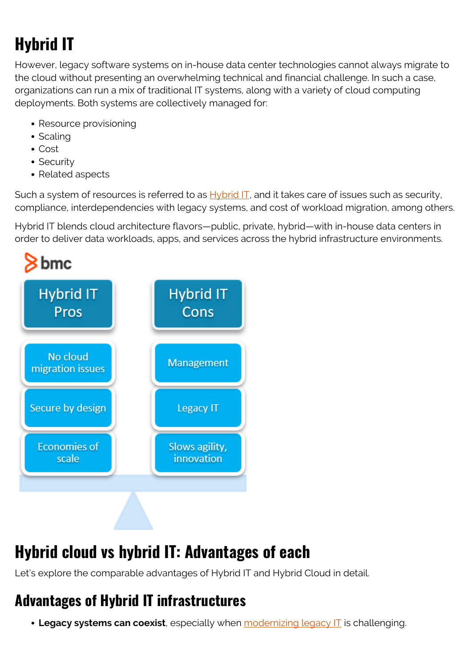# **Hybrid IT**

However, legacy software systems on in-house data center technologies cannot always migrate to the cloud without presenting an overwhelming technical and financial challenge. In such a case, organizations can run a mix of traditional IT systems, along with a variety of cloud computing deployments. Both systems are collectively managed for:

- Resource provisioning
- Scaling
- Cost
- Security
- Related aspects

Such a system of resources is referred to as [Hybrid IT,](https://blogs.bmc.com/blogs/hybrid-it/) and it takes care of issues such as security, compliance, interdependencies with legacy systems, and cost of workload migration, among others.

Hybrid IT blends cloud architecture flavors—public, private, hybrid—with in-house data centers in order to deliver data workloads, apps, and services across the hybrid infrastructure environments.



## **Hybrid cloud vs hybrid IT: Advantages of each**

Let's explore the comparable advantages of Hybrid IT and Hybrid Cloud in detail.

#### **Advantages of Hybrid IT infrastructures**

**Legacy systems can coexist**, especially when *[modernizing legacy IT](https://blogs.bmc.com/blogs/application-software-modernization/)* is challenging.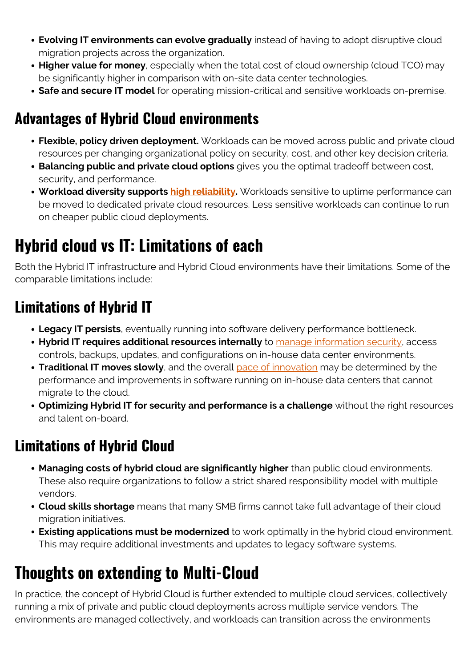- **Evolving IT environments can evolve gradually** instead of having to adopt disruptive cloud migration projects across the organization.
- **Higher value for money**, especially when the total cost of cloud ownership (cloud TCO) may be significantly higher in comparison with on-site data center technologies.
- **Safe and secure IT model** for operating mission-critical and sensitive workloads on-premise.

#### **Advantages of Hybrid Cloud environments**

- **Flexible, policy driven deployment.** Workloads can be moved across public and private cloud resources per changing organizational policy on security, cost, and other key decision criteria.
- **Balancing public and private cloud options** gives you the optimal tradeoff between cost, security, and performance.
- **Workload diversity supports [high reliability](https://blogs.bmc.com/blogs/reliability-vs-availability/).** Workloads sensitive to uptime performance can be moved to dedicated private cloud resources. Less sensitive workloads can continue to run on cheaper public cloud deployments.

## **Hybrid cloud vs IT: Limitations of each**

Both the Hybrid IT infrastructure and Hybrid Cloud environments have their limitations. Some of the comparable limitations include:

### **Limitations of Hybrid IT**

- **Legacy IT persists**, eventually running into software delivery performance bottleneck.
- **Hybrid IT requires additional resources internally** to [manage information security,](https://blogs.bmc.com/blogs/introduction-to-information-security-management-systems-isms/) access controls, backups, updates, and configurations on in-house data center environments.
- **Traditional IT moves slowly**, and the overall [pace of innovation](https://blogs.bmc.com/blogs/innovation-culture/) may be determined by the performance and improvements in software running on in-house data centers that cannot migrate to the cloud.
- **Optimizing Hybrid IT for security and performance is a challenge** without the right resources and talent on-board.

### **Limitations of Hybrid Cloud**

- **Managing costs of hybrid cloud are significantly higher** than public cloud environments. These also require organizations to follow a strict shared responsibility model with multiple vendors.
- **Cloud skills shortage** means that many SMB firms cannot take full advantage of their cloud migration initiatives.
- **Existing applications must be modernized** to work optimally in the hybrid cloud environment. This may require additional investments and updates to legacy software systems.

## **Thoughts on extending to Multi-Cloud**

In practice, the concept of Hybrid Cloud is further extended to multiple cloud services, collectively running a mix of private and public cloud deployments across multiple service vendors. The environments are managed collectively, and workloads can transition across the environments